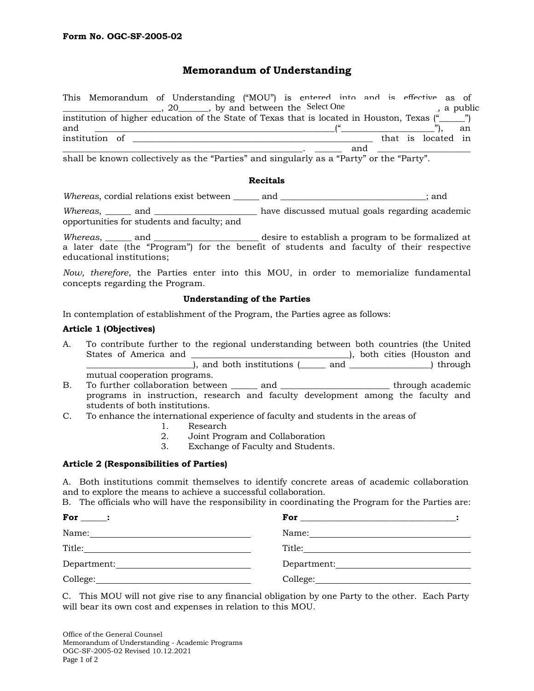# **Memorandum of Understanding**

|     |                | This Memorandum of Understanding ("MOU") is entered into and is effective as of                 |  |     |  |                    |            |
|-----|----------------|-------------------------------------------------------------------------------------------------|--|-----|--|--------------------|------------|
|     |                | 20 hy and between the Select One                                                                |  |     |  |                    | , a public |
|     |                | institution of higher education of the State of Texas that is located in Houston, Texas ("1994) |  |     |  |                    |            |
| and |                |                                                                                                 |  |     |  |                    | an         |
|     | institution of |                                                                                                 |  |     |  | that is located in |            |
|     |                |                                                                                                 |  | and |  |                    |            |

shall be known collectively as the "Parties" and singularly as a "Party" or the "Party".

#### **Recitals**

*Whereas*, cordial relations exist between \_\_\_\_\_\_ and \_\_\_\_\_\_\_\_\_\_\_\_\_\_\_\_\_\_\_\_\_\_\_\_\_\_\_\_\_\_\_\_\_\_; and

*Whereas*, \_\_\_\_\_\_ and \_\_\_\_\_\_\_\_\_\_\_\_\_\_\_\_\_\_\_\_\_\_\_\_ have discussed mutual goals regarding academic opportunities for students and faculty; and

*Whereas*, and **the and the and all and a** desire to establish a program to be formalized at a later date (the "Program") for the benefit of students and faculty of their respective educational institutions;

*Now, therefore*, the Parties enter into this MOU, in order to memorialize fundamental concepts regarding the Program.

## **Understanding of the Parties**

In contemplation of establishment of the Program, the Parties agree as follows:

## **Article 1 (Objectives)**

- A. To contribute further to the regional understanding between both countries (the United States of America and \_\_\_\_\_\_\_\_\_\_\_\_\_\_\_\_\_\_\_\_\_\_\_\_\_\_\_\_\_\_\_\_\_\_\_\_\_), both cities (Houston and \_\_\_\_\_\_\_\_\_\_\_\_\_\_\_\_\_\_\_\_\_\_\_\_\_), and both institutions (\_\_\_\_\_\_ and \_\_\_\_\_\_\_\_\_\_\_\_\_\_\_\_\_\_\_) through mutual cooperation programs.
- B. To further collaboration between and  $\qquad$  through academic programs in instruction, research and faculty development among the faculty and students of both institutions.
- C. To enhance the international experience of faculty and students in the areas of
	- 1. Research
	- 2. Joint Program and Collaboration<br>3. Exchange of Faculty and Student
	- Exchange of Faculty and Students.

# **Article 2 (Responsibilities of Parties)**

A. Both institutions commit themselves to identify concrete areas of academic collaboration and to explore the means to achieve a successful collaboration.

B. The officials who will have the responsibility in coordinating the Program for the Parties are:

| For $\qquad$ :                                                                                                                                                                                                                |                                  |  |
|-------------------------------------------------------------------------------------------------------------------------------------------------------------------------------------------------------------------------------|----------------------------------|--|
| Name:                                                                                                                                                                                                                         | Name:                            |  |
| Title:<br>the contract of the contract of the contract of the contract of the contract of                                                                                                                                     |                                  |  |
| Department: University of the series of the series of the series of the series of the series of the series of the series of the series of the series of the series of the series of the series of the series of the series of | Department: New York Department: |  |
|                                                                                                                                                                                                                               |                                  |  |

C. This MOU will not give rise to any financial obligation by one Party to the other. Each Party will bear its own cost and expenses in relation to this MOU.